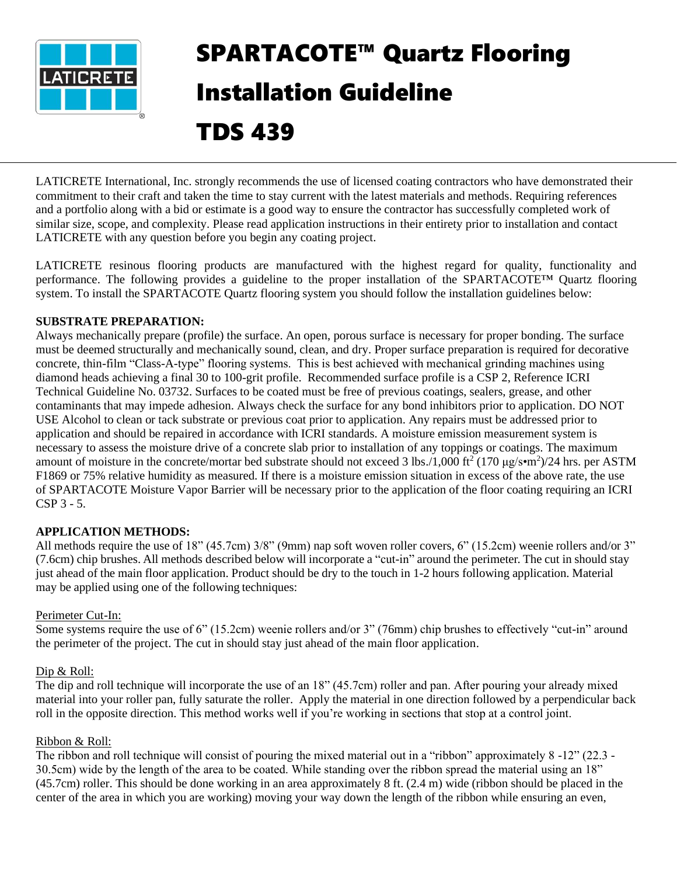

# SPARTACOTE™ Quartz Flooring Installation Guideline TDS 439

LATICRETE International, Inc. strongly recommends the use of licensed coating contractors who have demonstrated their commitment to their craft and taken the time to stay current with the latest materials and methods. Requiring references and a portfolio along with a bid or estimate is a good way to ensure the contractor has successfully completed work of similar size, scope, and complexity. Please read application instructions in their entirety prior to installation and contact LATICRETE with any question before you begin any coating project.

LATICRETE resinous flooring products are manufactured with the highest regard for quality, functionality and performance. The following provides a guideline to the proper installation of the SPARTACOTE™ Quartz flooring system. To install the SPARTACOTE Quartz flooring system you should follow the installation guidelines below:

## **SUBSTRATE PREPARATION:**

Always mechanically prepare (profile) the surface. An open, porous surface is necessary for proper bonding. The surface must be deemed structurally and mechanically sound, clean, and dry. Proper surface preparation is required for decorative concrete, thin-film "Class-A-type" flooring systems. This is best achieved with mechanical grinding machines using diamond heads achieving a final 30 to 100-grit profile. Recommended surface profile is a CSP 2, Reference ICRI Technical Guideline No. 03732. Surfaces to be coated must be free of previous coatings, sealers, grease, and other contaminants that may impede adhesion. Always check the surface for any bond inhibitors prior to application. DO NOT USE Alcohol to clean or tack substrate or previous coat prior to application. Any repairs must be addressed prior to application and should be repaired in accordance with ICRI standards. A moisture emission measurement system is necessary to assess the moisture drive of a concrete slab prior to installation of any toppings or coatings. The maximum amount of moisture in the concrete/mortar bed substrate should not exceed 3 lbs./1,000 ft<sup>2</sup> (170  $\mu$ g/s•m<sup>2</sup>)/24 hrs. per ASTM F1869 or 75% relative humidity as measured. If there is a moisture emission situation in excess of the above rate, the use of SPARTACOTE Moisture Vapor Barrier will be necessary prior to the application of the floor coating requiring an ICRI CSP 3 - 5.

## **APPLICATION METHODS:**

All methods require the use of 18" (45.7cm) 3/8" (9mm) nap soft woven roller covers, 6" (15.2cm) weenie rollers and/or 3" (7.6cm) chip brushes. All methods described below will incorporate a "cut-in" around the perimeter. The cut in should stay just ahead of the main floor application. Product should be dry to the touch in 1-2 hours following application. Material may be applied using one of the following techniques:

## Perimeter Cut-In:

Some systems require the use of 6" (15.2cm) weenie rollers and/or 3" (76mm) chip brushes to effectively "cut-in" around the perimeter of the project. The cut in should stay just ahead of the main floor application.

## Dip & Roll:

The dip and roll technique will incorporate the use of an 18" (45.7cm) roller and pan. After pouring your already mixed material into your roller pan, fully saturate the roller. Apply the material in one direction followed by a perpendicular back roll in the opposite direction. This method works well if you're working in sections that stop at a control joint.

## Ribbon & Roll:

The ribbon and roll technique will consist of pouring the mixed material out in a "ribbon" approximately 8 -12" (22.3 - 30.5cm) wide by the length of the area to be coated. While standing over the ribbon spread the material using an 18" (45.7cm) roller. This should be done working in an area approximately 8 ft. (2.4 m) wide (ribbon should be placed in the center of the area in which you are working) moving your way down the length of the ribbon while ensuring an even,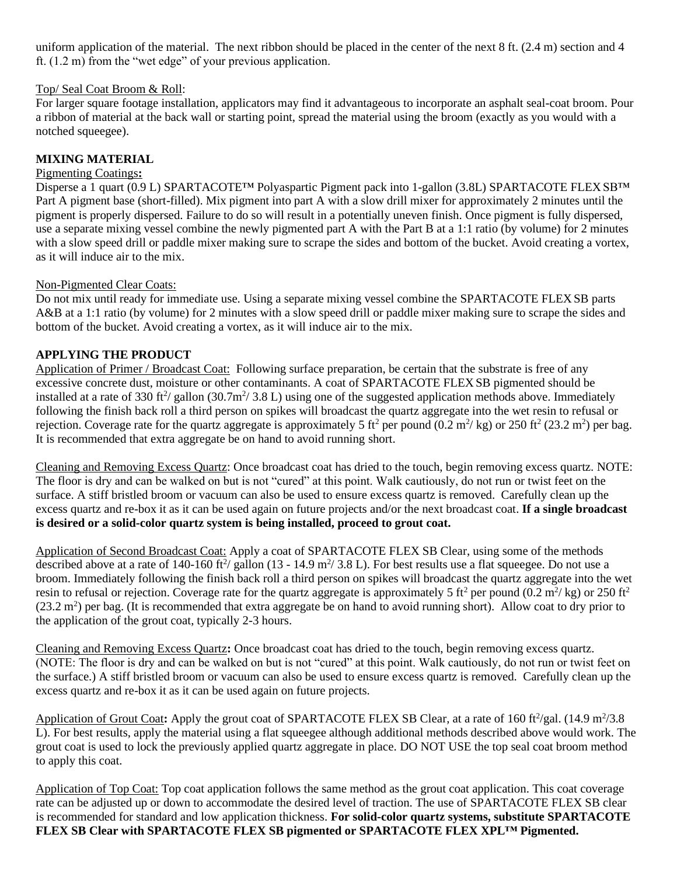uniform application of the material. The next ribbon should be placed in the center of the next 8 ft. (2.4 m) section and 4 ft. (1.2 m) from the "wet edge" of your previous application.

## Top/ Seal Coat Broom & Roll:

For larger square footage installation, applicators may find it advantageous to incorporate an asphalt seal-coat broom. Pour a ribbon of material at the back wall or starting point, spread the material using the broom (exactly as you would with a notched squeegee).

## **MIXING MATERIAL**

## Pigmenting Coatings**:**

Disperse a 1 quart (0.9 L) SPARTACOTE™ Polyaspartic Pigment pack into 1-gallon (3.8L) SPARTACOTE FLEX SB<sup>™</sup> Part A pigment base (short-filled). Mix pigment into part A with a slow drill mixer for approximately 2 minutes until the pigment is properly dispersed. Failure to do so will result in a potentially uneven finish. Once pigment is fully dispersed, use a separate mixing vessel combine the newly pigmented part A with the Part B at a 1:1 ratio (by volume) for 2 minutes with a slow speed drill or paddle mixer making sure to scrape the sides and bottom of the bucket. Avoid creating a vortex, as it will induce air to the mix.

#### Non-Pigmented Clear Coats:

Do not mix until ready for immediate use. Using a separate mixing vessel combine the SPARTACOTE FLEX SB parts A&B at a 1:1 ratio (by volume) for 2 minutes with a slow speed drill or paddle mixer making sure to scrape the sides and bottom of the bucket. Avoid creating a vortex, as it will induce air to the mix.

## **APPLYING THE PRODUCT**

Application of Primer / Broadcast Coat: Following surface preparation, be certain that the substrate is free of any excessive concrete dust, moisture or other contaminants. A coat of SPARTACOTE FLEX SB pigmented should be installed at a rate of 330 ft<sup>2</sup>/ gallon (30.7m<sup>2</sup>/3.8 L) using one of the suggested application methods above. Immediately following the finish back roll a third person on spikes will broadcast the quartz aggregate into the wet resin to refusal or rejection. Coverage rate for the quartz aggregate is approximately 5 ft<sup>2</sup> per pound (0.2 m<sup>2</sup>/kg) or 250 ft<sup>2</sup> (23.2 m<sup>2</sup>) per bag. It is recommended that extra aggregate be on hand to avoid running short.

Cleaning and Removing Excess Quartz: Once broadcast coat has dried to the touch, begin removing excess quartz. NOTE: The floor is dry and can be walked on but is not "cured" at this point. Walk cautiously, do not run or twist feet on the surface. A stiff bristled broom or vacuum can also be used to ensure excess quartz is removed. Carefully clean up the excess quartz and re-box it as it can be used again on future projects and/or the next broadcast coat. **If a single broadcast is desired or a solid-color quartz system is being installed, proceed to grout coat.**

Application of Second Broadcast Coat: Apply a coat of SPARTACOTE FLEX SB Clear, using some of the methods described above at a rate of 140-160 ft<sup>2</sup>/ gallon (13 - 14.9 m<sup>2</sup>/ 3.8 L). For best results use a flat squeegee. Do not use a broom. Immediately following the finish back roll a third person on spikes will broadcast the quartz aggregate into the wet resin to refusal or rejection. Coverage rate for the quartz aggregate is approximately 5 ft<sup>2</sup> per pound (0.2 m<sup>2</sup>/kg) or 250 ft<sup>2</sup>  $(23.2 \text{ m}^2)$  per bag. (It is recommended that extra aggregate be on hand to avoid running short). Allow coat to dry prior to the application of the grout coat, typically 2-3 hours.

Cleaning and Removing Excess Quartz**:** Once broadcast coat has dried to the touch, begin removing excess quartz. (NOTE: The floor is dry and can be walked on but is not "cured" at this point. Walk cautiously, do not run or twist feet on the surface.) A stiff bristled broom or vacuum can also be used to ensure excess quartz is removed. Carefully clean up the excess quartz and re-box it as it can be used again on future projects.

Application of Grout Coat: Apply the grout coat of SPARTACOTE FLEX SB Clear, at a rate of 160 ft<sup>2</sup>/gal. (14.9 m<sup>2</sup>/3.8 L). For best results, apply the material using a flat squeegee although additional methods described above would work. The grout coat is used to lock the previously applied quartz aggregate in place. DO NOT USE the top seal coat broom method to apply this coat.

Application of Top Coat: Top coat application follows the same method as the grout coat application. This coat coverage rate can be adjusted up or down to accommodate the desired level of traction. The use of SPARTACOTE FLEX SB clear is recommended for standard and low application thickness. **For solid-color quartz systems, substitute SPARTACOTE FLEX SB Clear with SPARTACOTE FLEX SB pigmented or SPARTACOTE FLEX XPL™ Pigmented.**